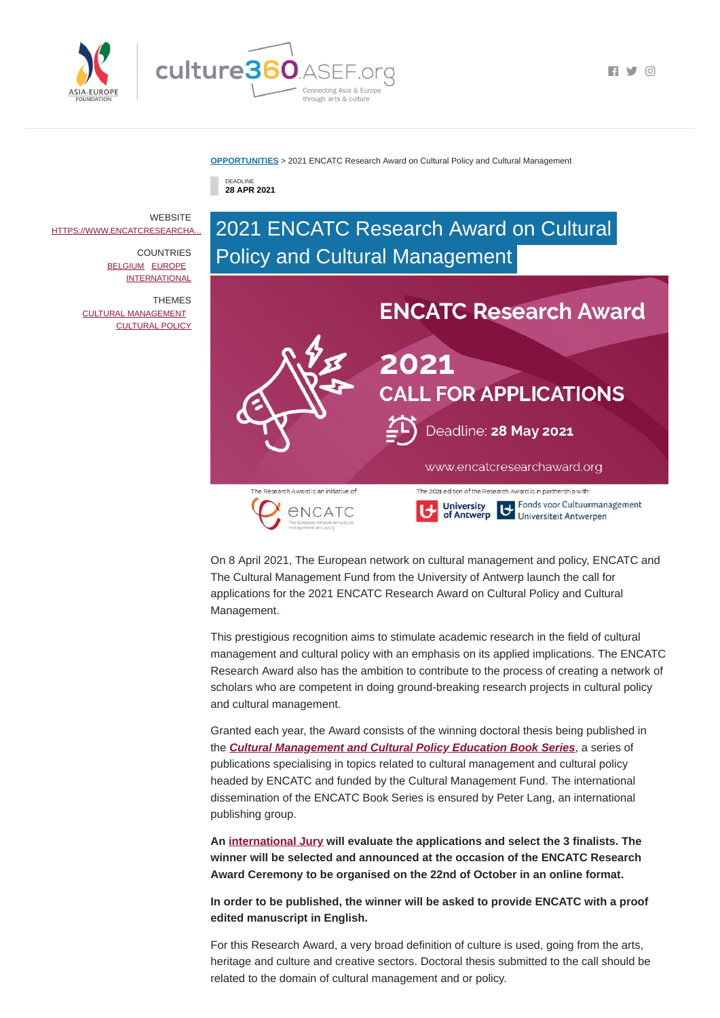

 $\blacksquare$   $\blacksquare$   $\blacksquare$   $\blacksquare$   $\blacksquare$   $\blacksquare$   $\blacksquare$   $\blacksquare$   $\blacksquare$   $\blacksquare$   $\blacksquare$   $\blacksquare$   $\blacksquare$   $\blacksquare$   $\blacksquare$   $\blacksquare$   $\blacksquare$   $\blacksquare$   $\blacksquare$   $\blacksquare$   $\blacksquare$   $\blacksquare$   $\blacksquare$   $\blacksquare$   $\blacksquare$   $\blacksquare$   $\blacksquare$   $\blacksquare$   $\blacksquare$   $\blacksquare$   $\blacksquare$   $\blacks$ 

#### **[OPPORTUNITIES](https://culture360.asef.org/opportunities/)** > 2021 ENCATC Research Award on Cultural Policy and Cultural Management

DEADLINE **28 APR 2021**

# 2021 ENCATC Research Award on Cultural Policy and Cultural Management



On 8 April 2021, The European network on cultural management and policy, ENCATC and The Cultural Management Fund from the University of Antwerp launch the call for applications for the 2021 ENCATC Research Award on Cultural Policy and Cultural Management.

This prestigious recognition aims to stimulate academic research in the field of cultural management and cultural policy with an emphasis on its applied implications. The ENCATC Research Award also has the ambition to contribute to the process of creating a network of scholars who are competent in doing ground-breaking research projects in cultural policy and cultural management.

**WEBSITE** [HTTPS://WWW.ENCATCRESEARCHA...](https://www.encatcresearchaward.org/call-for-applications/)

> **COUNTRIES** [BELGIUM](https://culture360.asef.org/countries/belgium/) [EUROPE](https://culture360.asef.org/countries/europe/) **[INTERNATIONAL](https://culture360.asef.org/countries/international/)**

> > Granted each year, the Award consists of the winning doctoral thesis being published in the *Cultural [Management](https://www.encatc.org/en/resources/book-series/) and Cultural Policy Education Book Series*, a series of publications specialising in topics related to cultural management and cultural policy headed by ENCATC and funded by the Cultural Management Fund. The international dissemination of the ENCATC Book Series is ensured by Peter Lang, an international publishing group.

**An [international](https://www.encatcresearchaward.org/about/jury-members/) Jury will evaluate the applications and select the 3 finalists. The winner will be selected and announced at the occasion of the ENCATC Research Award Ceremony to be organised on the 22nd of October in an online format.**

**In order to be published, the winner will be asked to provide ENCATC with a proof edited manuscript in English.**

For this Research Award, a very broad definition of culture is used, going from the arts, heritage and culture and creative sectors. Doctoral thesis submitted to the call should be related to the domain of cultural management and or policy.

THEMES CULTURAL [MANAGEMENT](https://culture360.asef.org/themes/cultural-management/) [CULTURAL](https://culture360.asef.org/themes/cultural-policy/) POLICY